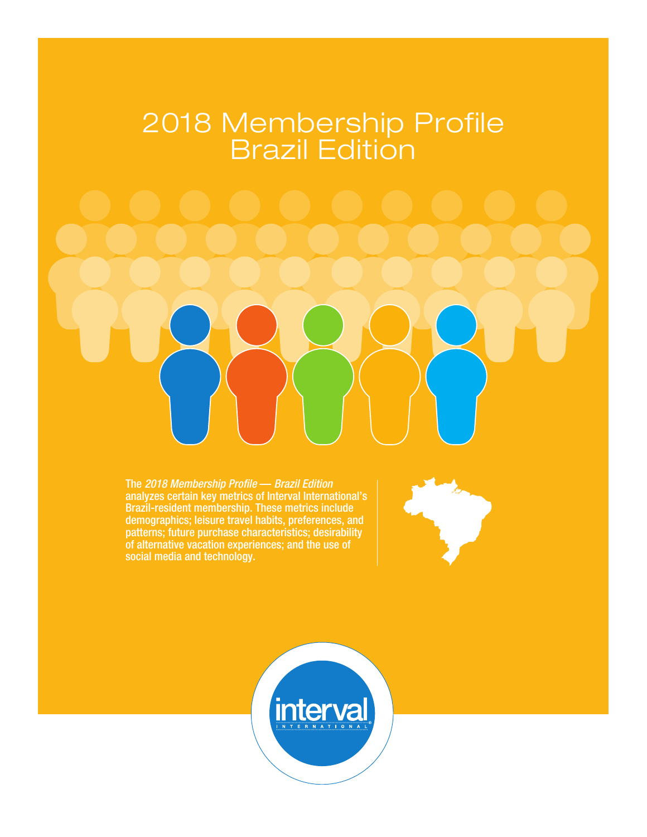# 2018 Membership Profile Brazil Edition

The *2018 Membership Profile* — *Brazil Edition* analyzes certain key metrics of Interval International's Brazil-resident membership. These metrics include demographics; leisure travel habits, preferences, and patterns; future purchase characteristics; desirability of alternative vacation experiences; and the use of social media and technology.



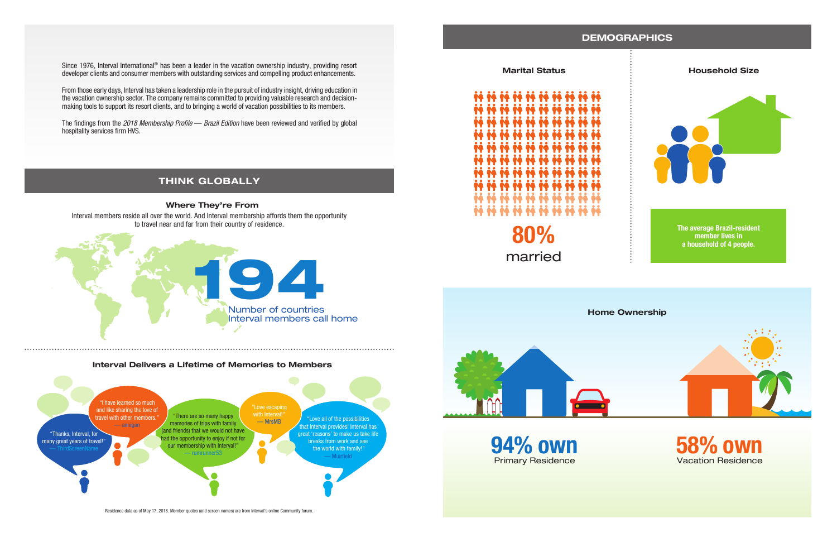# **DEMOGRAPHICS**

### **Marital Status**



![](_page_1_Picture_14.jpeg)

**94% own** Primary Residence

![](_page_1_Picture_19.jpeg)

![](_page_1_Figure_17.jpeg)

**80%** married

Residence data as of May 17, 2018. Member quotes (and screen names) are from Interval's online Community forum.

![](_page_1_Figure_8.jpeg)

### **Interval Delivers a Lifetime of Memories to Members**

Since 1976, Interval International<sup>®</sup> has been a leader in the vacation ownership industry, providing resort developer clients and consumer members with outstanding services and compelling product enhancements.

# **THINK GLOBALLY**

# **Where They're From** Interval members reside all over the world. And Interval membership affords them the opportunity

![](_page_1_Picture_6.jpeg)

From those early days, Interval has taken a leadership role in the pursuit of industry insight, driving education in the vacation ownership sector. The company remains committed to providing valuable research and decisionmaking tools to support its resort clients, and to bringing a world of vacation possibilities to its members.

The findings from the *2018 Membership Profile* — *Brazil Edition* have been reviewed and verified by global hospitality services firm HVS.

> **The average Brazil-resident member lives in a household of 4 people.**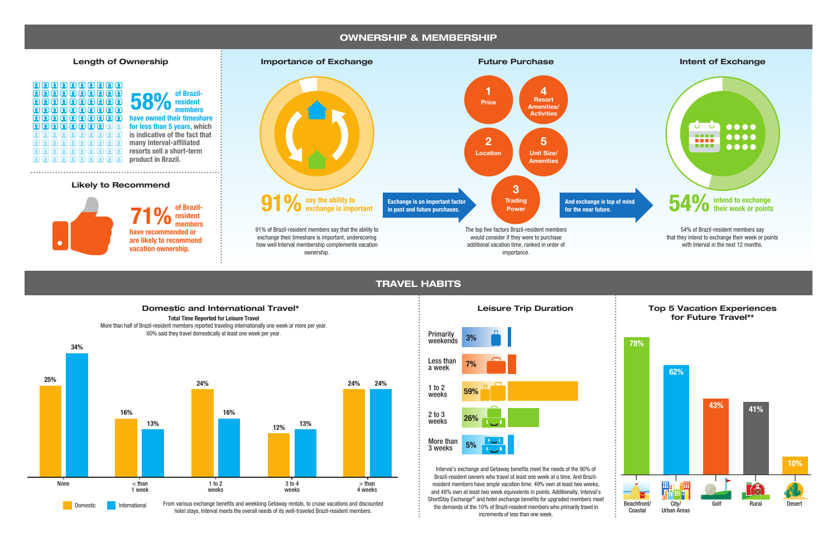## **OWNERSHIP & MEMBERSHIP**

**TRAVEL HABITS**

![](_page_2_Figure_7.jpeg)

Interval's exchange and Getaway benefits meet the needs of the 90% of Brazil-resident owners who travel at least one week at a time. And Brazilresident members have ample vacation time: 49% own at least two weeks, and 48% own at least two week equivalents in points. Additionally, Interval's ShortStay Exchange® and hotel exchange benefits for upgraded members meet the demands of the 10% of Brazil-resident members who primarily travel in increments of less than one week.

![](_page_2_Figure_1.jpeg)

hotel stays, Interval meets the overall needs of its well-traveled Brazil-resident members.

![](_page_2_Figure_3.jpeg)

![](_page_2_Figure_5.jpeg)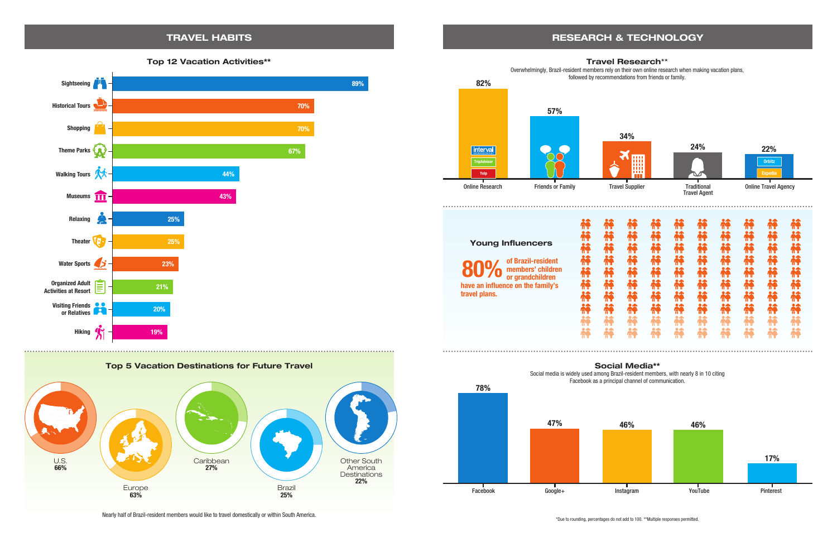# **TRAVEL HABITS RESEARCH & TECHNOLOGY**

### **Top 12 Vacation Activities\*\***

Social media is widely used among Brazil-resident members, with nearly 8 in 10 citing Facebook as a principal channel of communication.

![](_page_3_Figure_2.jpeg)

**78% 47% 46%** Facebook Google+

![](_page_3_Figure_6.jpeg)

![](_page_3_Figure_15.jpeg)

Nearly half of Brazil-resident members would like to travel domestically or within South America.

![](_page_3_Figure_3.jpeg)